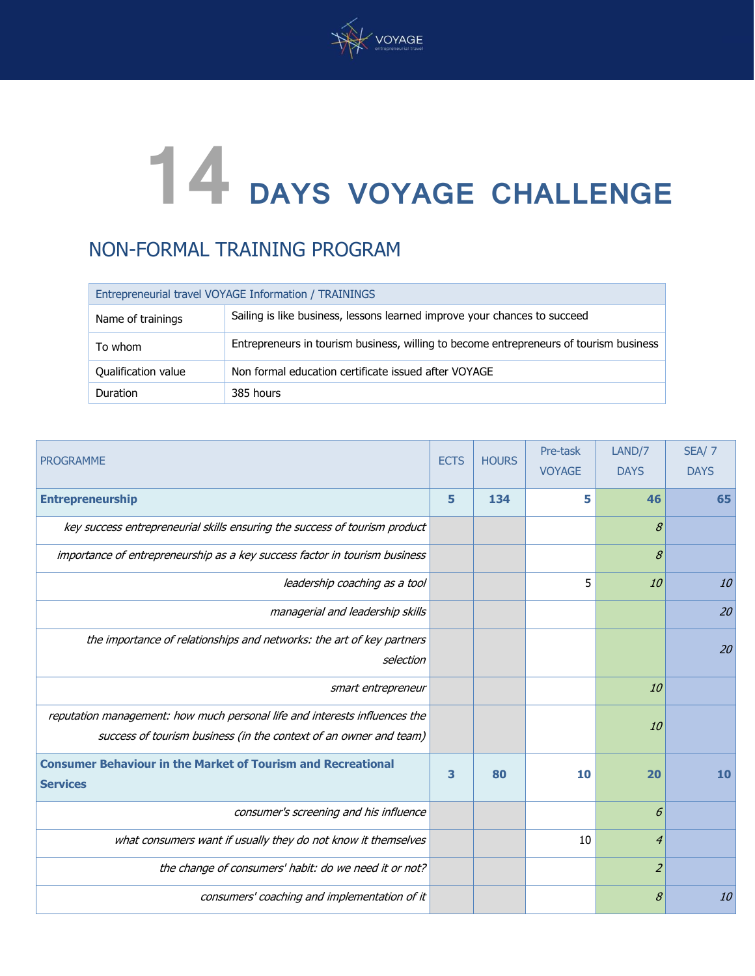

# **14 DAYS VOYAGE CHALLENGE**

# NON-FORMAL TRAINING PROGRAM

| Entrepreneurial travel VOYAGE Information / TRAININGS |                                                                                        |  |  |  |
|-------------------------------------------------------|----------------------------------------------------------------------------------------|--|--|--|
| Name of trainings                                     | Sailing is like business, lessons learned improve your chances to succeed              |  |  |  |
| To whom                                               | Entrepreneurs in tourism business, willing to become entrepreneurs of tourism business |  |  |  |
| <b>Qualification value</b>                            | Non formal education certificate issued after VOYAGE                                   |  |  |  |
| Duration                                              | 385 hours                                                                              |  |  |  |

| <b>PROGRAMME</b>                                                                                                                                | <b>ECTS</b> | <b>HOURS</b> | Pre-task<br><b>VOYAGE</b> | LAND/7<br><b>DAYS</b> | <b>SEA/ 7</b><br><b>DAYS</b> |
|-------------------------------------------------------------------------------------------------------------------------------------------------|-------------|--------------|---------------------------|-----------------------|------------------------------|
| <b>Entrepreneurship</b>                                                                                                                         | 5           | 134          | 5                         | 46                    | 65                           |
| key success entrepreneurial skills ensuring the success of tourism product                                                                      |             |              |                           | 8                     |                              |
| importance of entrepreneurship as a key success factor in tourism business                                                                      |             |              |                           | 8                     |                              |
| leadership coaching as a tool                                                                                                                   |             |              | 5                         | 10                    | 10                           |
| managerial and leadership skills                                                                                                                |             |              |                           |                       | 20                           |
| the importance of relationships and networks: the art of key partners<br>selection                                                              |             |              |                           |                       | 20                           |
| smart entrepreneur                                                                                                                              |             |              |                           | 10                    |                              |
| reputation management: how much personal life and interests influences the<br>success of tourism business (in the context of an owner and team) |             |              |                           | <i>10</i>             |                              |
| <b>Consumer Behaviour in the Market of Tourism and Recreational</b><br><b>Services</b>                                                          | 3           | 80           | 10                        | 20                    | 10                           |
| consumer's screening and his influence                                                                                                          |             |              |                           | 6                     |                              |
| what consumers want if usually they do not know it themselves                                                                                   |             |              | 10                        | $\boldsymbol{4}$      |                              |
| the change of consumers' habit: do we need it or not?                                                                                           |             |              |                           | $\overline{2}$        |                              |
| consumers' coaching and implementation of it                                                                                                    |             |              |                           | 8                     | 10                           |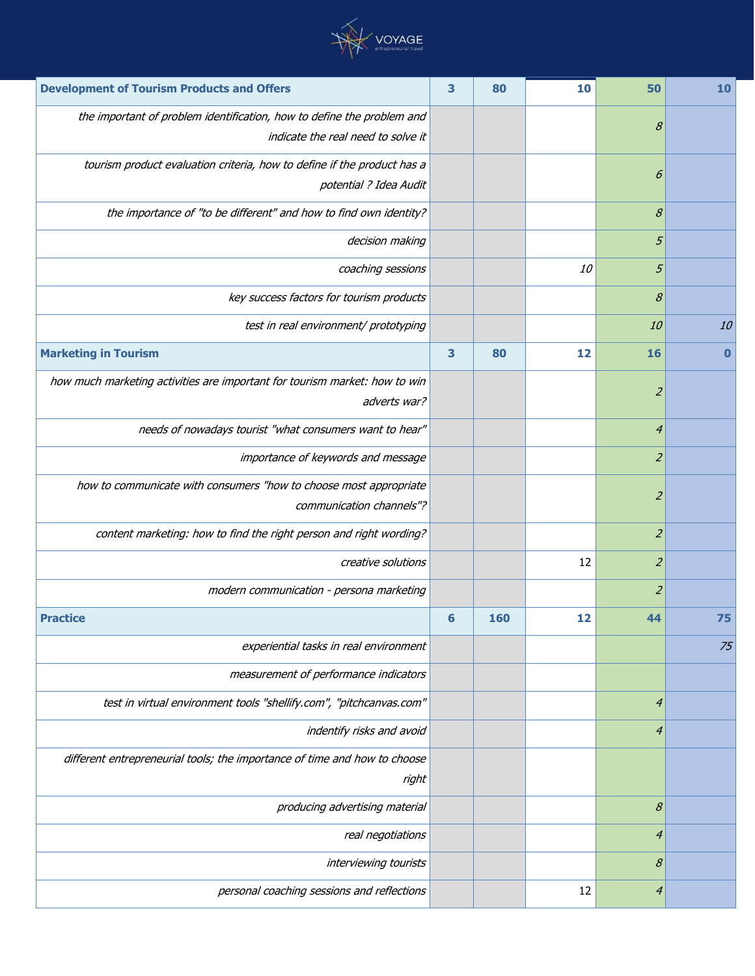

| <b>Development of Tourism Products and Offers</b>                                                 |   | 80  | 10 | 50             | 10       |
|---------------------------------------------------------------------------------------------------|---|-----|----|----------------|----------|
| the important of problem identification, how to define the problem and                            |   |     |    | 8              |          |
| indicate the real need to solve it                                                                |   |     |    |                |          |
| tourism product evaluation criteria, how to define if the product has a<br>potential ? Idea Audit |   |     |    | 6              |          |
| the importance of "to be different" and how to find own identity?                                 |   |     |    | 8              |          |
| decision making                                                                                   |   |     |    | 5              |          |
| coaching sessions                                                                                 |   |     | 10 | 5              |          |
| key success factors for tourism products                                                          |   |     |    | 8              |          |
| test in real environment/ prototyping                                                             |   |     |    | 10             | 10       |
| <b>Marketing in Tourism</b>                                                                       | 3 | 80  | 12 | <b>16</b>      | $\bf{0}$ |
| how much marketing activities are important for tourism market: how to win                        |   |     |    |                |          |
| adverts war?                                                                                      |   |     |    | $\overline{z}$ |          |
| needs of nowadays tourist "what consumers want to hear"                                           |   |     |    | $\overline{4}$ |          |
| importance of keywords and message                                                                |   |     |    | $\overline{a}$ |          |
| how to communicate with consumers "how to choose most appropriate                                 |   |     |    | $\overline{z}$ |          |
| communication channels"?                                                                          |   |     |    |                |          |
| content marketing: how to find the right person and right wording?                                |   |     |    | $\overline{z}$ |          |
| creative solutions                                                                                |   |     | 12 | $\overline{a}$ |          |
| modern communication - persona marketing                                                          |   |     |    | $\overline{z}$ |          |
| <b>Practice</b>                                                                                   | 6 | 160 | 12 | 44             | 75       |
| experiential tasks in real environment                                                            |   |     |    |                | 75       |
| measurement of performance indicators                                                             |   |     |    |                |          |
| test in virtual environment tools "shellify.com", "pitchcanvas.com"                               |   |     |    | $\overline{4}$ |          |
| indentify risks and avoid                                                                         |   |     |    | 4              |          |
| different entrepreneurial tools; the importance of time and how to choose                         |   |     |    |                |          |
| right                                                                                             |   |     |    |                |          |
| producing advertising material                                                                    |   |     |    | 8              |          |
| real negotiations                                                                                 |   |     |    | 4              |          |
| interviewing tourists                                                                             |   |     |    | 8              |          |
| personal coaching sessions and reflections                                                        |   |     | 12 | 4              |          |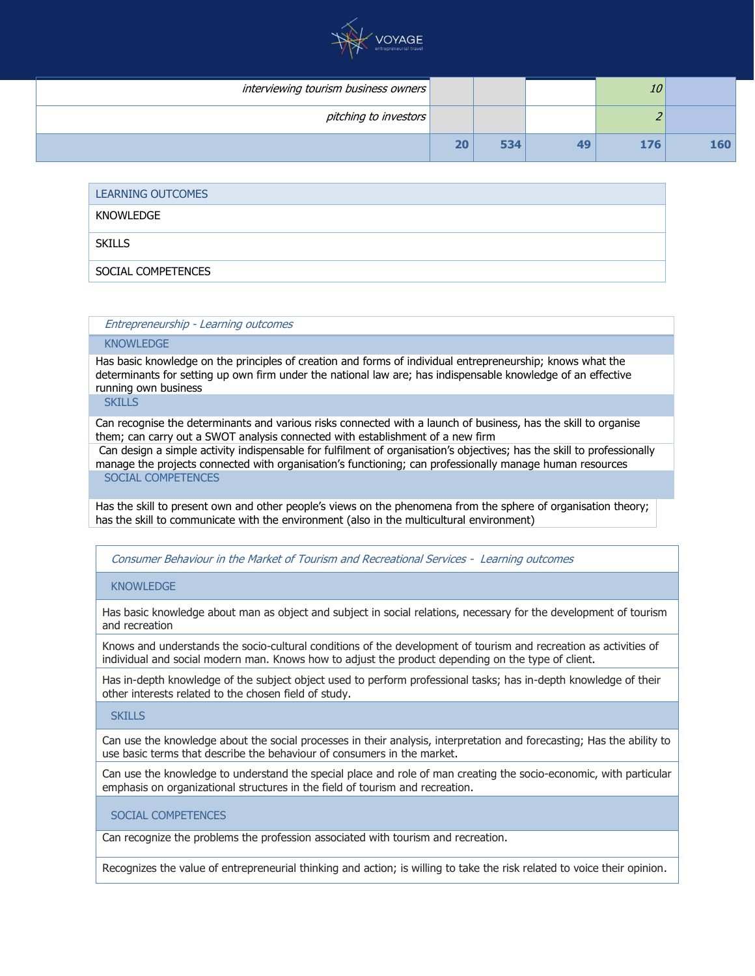

| interviewing tourism business owners |    |     |    | 10  |     |
|--------------------------------------|----|-----|----|-----|-----|
| pitching to investors                |    |     |    |     |     |
|                                      | 20 | 534 | 49 | 176 | 160 |

| LEARNING OUTCOMES  |
|--------------------|
| KNOWLEDGE          |
| <b>SKILLS</b>      |
| SOCIAL COMPETENCES |

Entrepreneurship - Learning outcomes

#### KNOWLEDGE

Has basic knowledge on the principles of creation and forms of individual entrepreneurship; knows what the determinants for setting up own firm under the national law are; has indispensable knowledge of an effective running own business

**SKILLS** 

Can recognise the determinants and various risks connected with a launch of business, has the skill to organise them; can carry out a SWOT analysis connected with establishment of a new firm

Can design a simple activity indispensable for fulfilment of organisation's objectives; has the skill to professionally manage the projects connected with organisation's functioning; can professionally manage human resources SOCIAL COMPETENCES

Has the skill to present own and other people's views on the phenomena from the sphere of organisation theory; has the skill to communicate with the environment (also in the multicultural environment)

# Consumer Behaviour in the Market of Tourism and Recreational Services - Learning outcomes

# KNOWL FDGF

Has basic knowledge about man as object and subject in social relations, necessary for the development of tourism and recreation

Knows and understands the socio-cultural conditions of the development of tourism and recreation as activities of individual and social modern man. Knows how to adjust the product depending on the type of client.

Has in-depth knowledge of the subject object used to perform professional tasks; has in-depth knowledge of their other interests related to the chosen field of study.

#### **SKILLS**

Can use the knowledge about the social processes in their analysis, interpretation and forecasting; Has the ability to use basic terms that describe the behaviour of consumers in the market.

Can use the knowledge to understand the special place and role of man creating the socio-economic, with particular emphasis on organizational structures in the field of tourism and recreation.

# SOCIAL COMPETENCES

Can recognize the problems the profession associated with tourism and recreation.

Recognizes the value of entrepreneurial thinking and action; is willing to take the risk related to voice their opinion.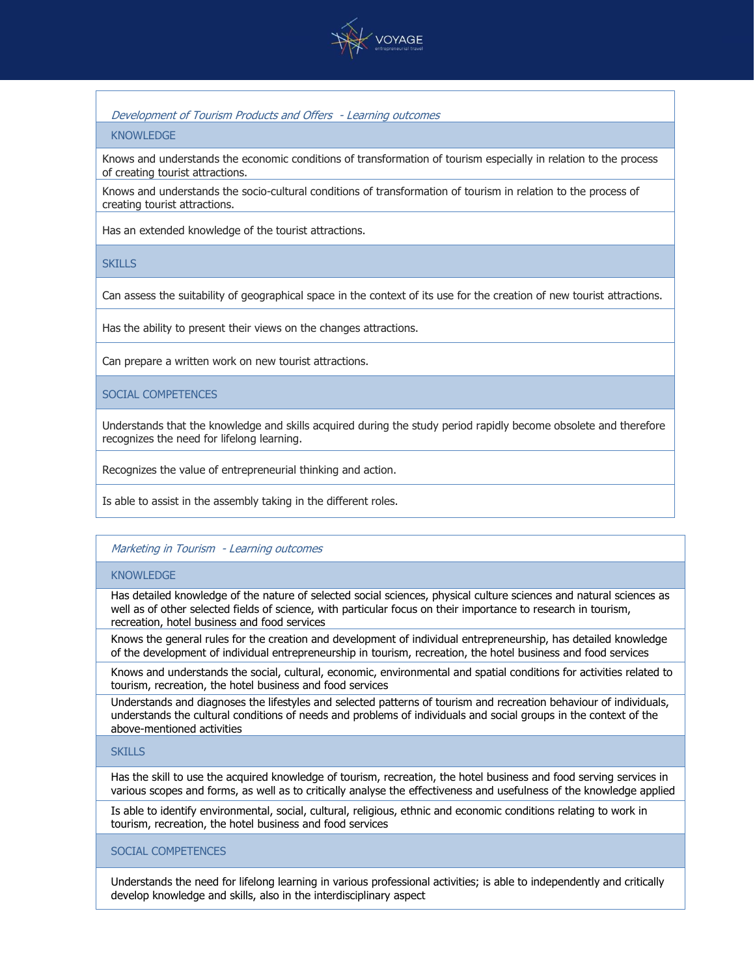

# Development of Tourism Products and Offers - Learning outcomes

#### KNOWLEDGE

Knows and understands the economic conditions of transformation of tourism especially in relation to the process of creating tourist attractions.

Knows and understands the socio-cultural conditions of transformation of tourism in relation to the process of creating tourist attractions.

Has an extended knowledge of the tourist attractions.

# **SKILLS**

Can assess the suitability of geographical space in the context of its use for the creation of new tourist attractions.

Has the ability to present their views on the changes attractions.

Can prepare a written work on new tourist attractions.

# SOCIAL COMPETENCES

Understands that the knowledge and skills acquired during the study period rapidly become obsolete and therefore recognizes the need for lifelong learning.

Recognizes the value of entrepreneurial thinking and action.

Is able to assist in the assembly taking in the different roles.

# Marketing in Tourism - Learning outcomes

#### **KNOWLEDGE**

Has detailed knowledge of the nature of selected social sciences, physical culture sciences and natural sciences as well as of other selected fields of science, with particular focus on their importance to research in tourism, recreation, hotel business and food services

Knows the general rules for the creation and development of individual entrepreneurship, has detailed knowledge of the development of individual entrepreneurship in tourism, recreation, the hotel business and food services

Knows and understands the social, cultural, economic, environmental and spatial conditions for activities related to tourism, recreation, the hotel business and food services

Understands and diagnoses the lifestyles and selected patterns of tourism and recreation behaviour of individuals, understands the cultural conditions of needs and problems of individuals and social groups in the context of the above-mentioned activities

# **SKILLS**

Has the skill to use the acquired knowledge of tourism, recreation, the hotel business and food serving services in various scopes and forms, as well as to critically analyse the effectiveness and usefulness of the knowledge applied

Is able to identify environmental, social, cultural, religious, ethnic and economic conditions relating to work in tourism, recreation, the hotel business and food services

SOCIAL COMPETENCES

Understands the need for lifelong learning in various professional activities; is able to independently and critically develop knowledge and skills, also in the interdisciplinary aspect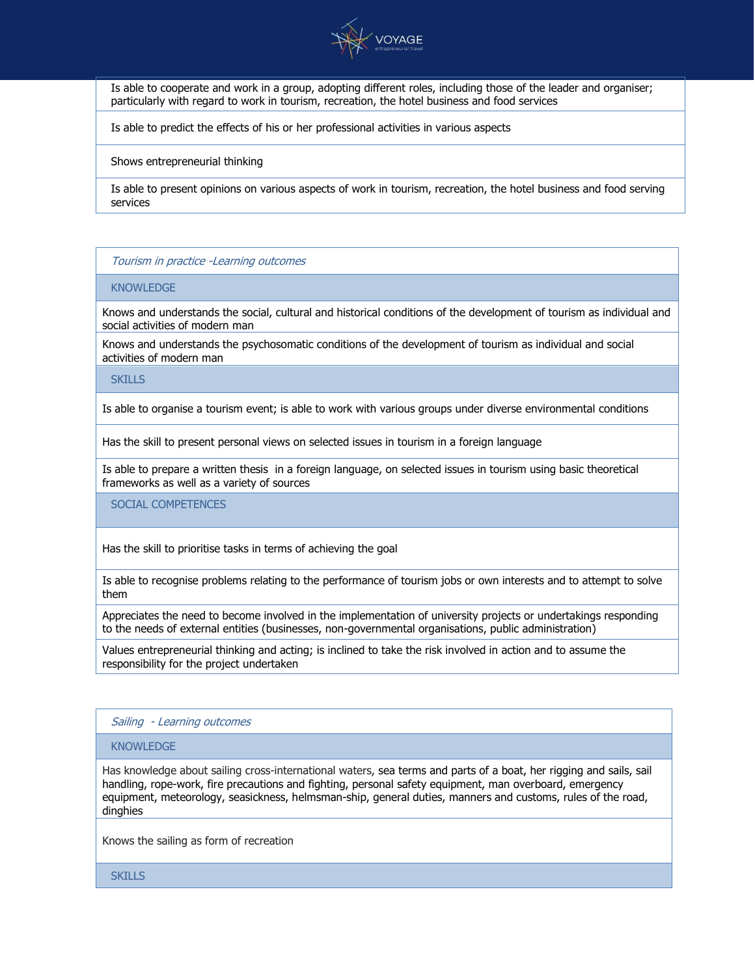

Is able to cooperate and work in a group, adopting different roles, including those of the leader and organiser; particularly with regard to work in tourism, recreation, the hotel business and food services

Is able to predict the effects of his or her professional activities in various aspects

Shows entrepreneurial thinking

Is able to present opinions on various aspects of work in tourism, recreation, the hotel business and food serving services

#### Tourism in practice -Learning outcomes

#### KNOWL FDGF

Knows and understands the social, cultural and historical conditions of the development of tourism as individual and social activities of modern man

Knows and understands the psychosomatic conditions of the development of tourism as individual and social activities of modern man

**SKILLS** 

Is able to organise a tourism event; is able to work with various groups under diverse environmental conditions

Has the skill to present personal views on selected issues in tourism in a foreign language

Is able to prepare a written thesis in a foreign language, on selected issues in tourism using basic theoretical frameworks as well as a variety of sources

SOCIAL COMPETENCES

Has the skill to prioritise tasks in terms of achieving the goal

Is able to recognise problems relating to the performance of tourism jobs or own interests and to attempt to solve them

Appreciates the need to become involved in the implementation of university projects or undertakings responding to the needs of external entities (businesses, non-governmental organisations, public administration)

Values entrepreneurial thinking and acting; is inclined to take the risk involved in action and to assume the responsibility for the project undertaken

#### Sailing - Learning outcomes

#### KNOWLEDGE

Has knowledge about sailing cross-international waters, sea terms and parts of a boat, her rigging and sails, sail handling, rope-work, fire precautions and fighting, personal safety equipment, man overboard, emergency equipment, meteorology, seasickness, helmsman-ship, general duties, manners and customs, rules of the road, dinghies

Knows the sailing as form of recreation

**SKILLS**